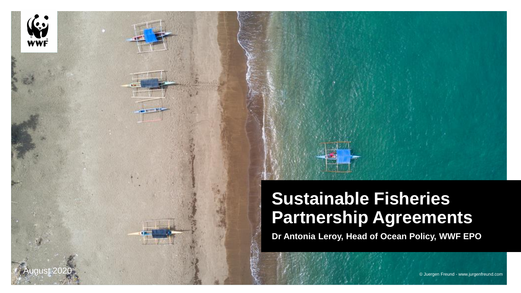

#### **Sustainable Fisheries Partnership Agreements**

**Dr Antonia Leroy, Head of Ocean Policy, WWF EPO**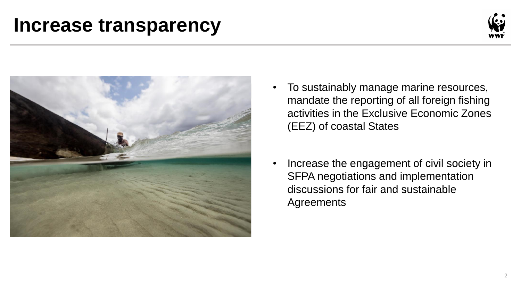### **Increase transparency**





- To sustainably manage marine resources, mandate the reporting of all foreign fishing activities in the Exclusive Economic Zones (EEZ) of coastal States
- Increase the engagement of civil society in SFPA negotiations and implementation discussions for fair and sustainable **Agreements**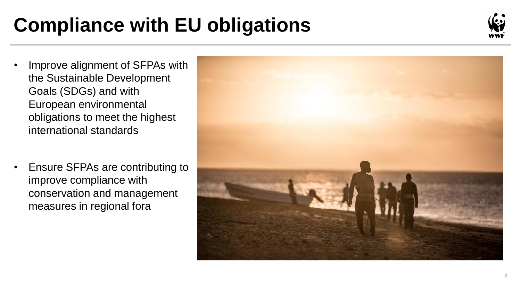# **Compliance with EU obligations**



- Improve alignment of SFPAs with the Sustainable Development Goals (SDGs) and with European environmental obligations to meet the highest international standards
- Ensure SFPAs are contributing to improve compliance with conservation and management measures in regional fora

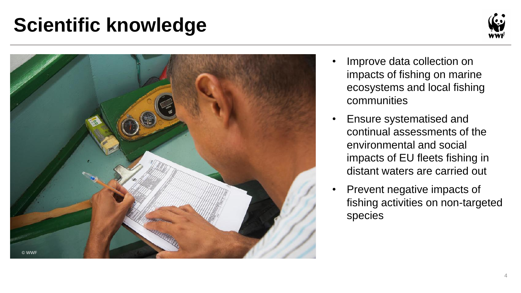## **Scientific knowledge**





- Improve data collection on impacts of fishing on marine ecosystems and local fishing communities
- Ensure systematised and continual assessments of the environmental and social impacts of EU fleets fishing in distant waters are carried out
- Prevent negative impacts of fishing activities on non-targeted species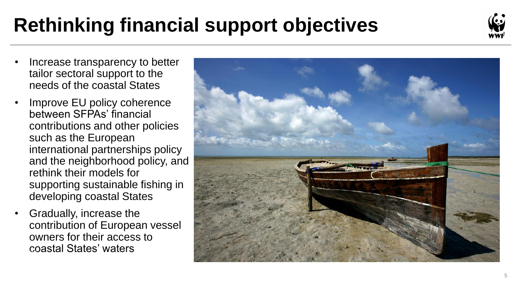# **Rethinking financial support objectives**



- Increase transparency to better tailor sectoral support to the needs of the coastal States
- Improve EU policy coherence between SFPAs' financial contributions and other policies such as the European international partnerships policy and the neighborhood policy, and rethink their models for supporting sustainable fishing in developing coastal States
- Gradually, increase the contribution of European vessel owners for their access to coastal States' waters

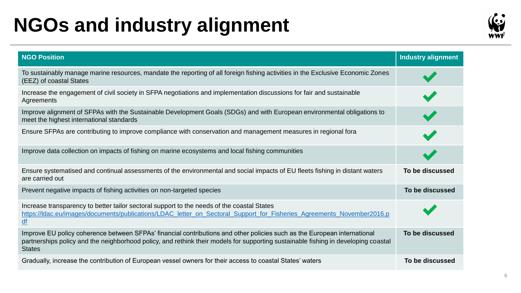## **NGOs and industry alignment**



| <b>NGO Position</b>                                                                                                                                                                                                                                                             | <b>Industry alignment</b> |
|---------------------------------------------------------------------------------------------------------------------------------------------------------------------------------------------------------------------------------------------------------------------------------|---------------------------|
| To sustainably manage marine resources, mandate the reporting of all foreign fishing activities in the Exclusive Economic Zones<br>(EEZ) of coastal States                                                                                                                      |                           |
| Increase the engagement of civil society in SFPA negotiations and implementation discussions for fair and sustainable<br>Agreements                                                                                                                                             |                           |
| Improve alignment of SFPAs with the Sustainable Development Goals (SDGs) and with European environmental obligations to<br>meet the highest international standards                                                                                                             |                           |
| Ensure SFPAs are contributing to improve compliance with conservation and management measures in regional fora                                                                                                                                                                  |                           |
| Improve data collection on impacts of fishing on marine ecosystems and local fishing communities                                                                                                                                                                                |                           |
| Ensure systematised and continual assessments of the environmental and social impacts of EU fleets fishing in distant waters<br>are carried out                                                                                                                                 | To be discussed           |
| Prevent negative impacts of fishing activities on non-targeted species                                                                                                                                                                                                          | To be discussed           |
| Increase transparency to better tailor sectoral support to the needs of the coastal States<br>https://ldac.eu/images/documents/publications/LDAC_letter_on_Sectoral_Support_for_Fisheries_Agreements_November2016.p<br>$\underline{df}$                                         |                           |
| Improve EU policy coherence between SFPAs' financial contributions and other policies such as the European international<br>partnerships policy and the neighborhood policy, and rethink their models for supporting sustainable fishing in developing coastal<br><b>States</b> | To be discussed           |
| Gradually, increase the contribution of European vessel owners for their access to coastal States' waters                                                                                                                                                                       | To be discussed           |